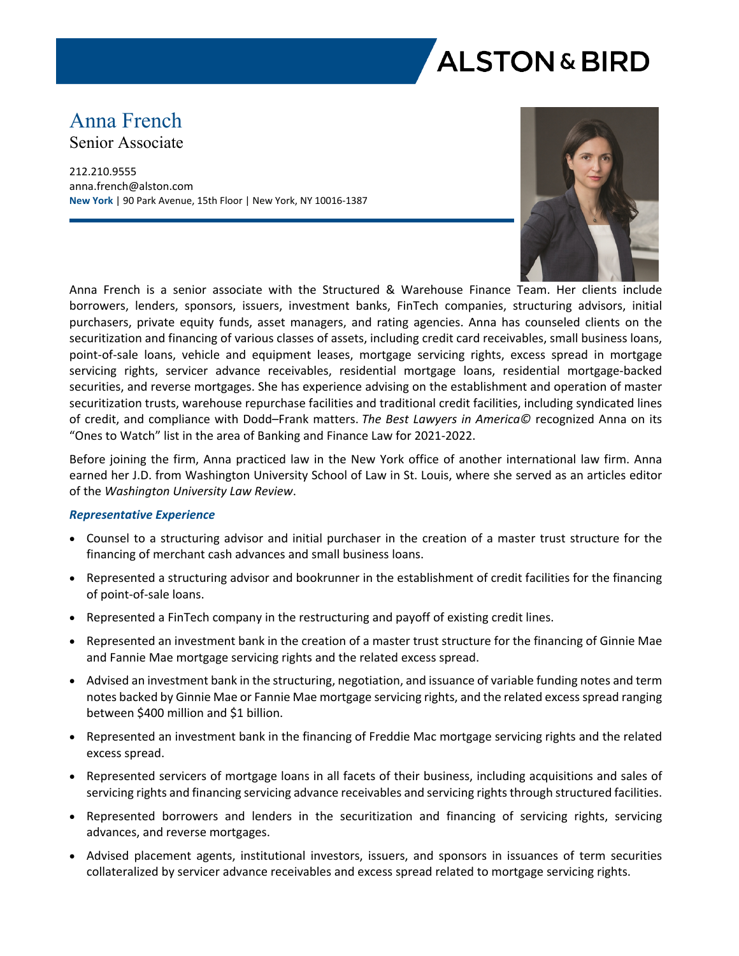

# Anna French

Senior Associate

212.210.9555 anna.french@alston.com **New York** | 90 Park Avenue, 15th Floor | New York, NY 10016-1387



Anna French is a senior associate with the Structured & Warehouse Finance Team. Her clients include borrowers, lenders, sponsors, issuers, investment banks, FinTech companies, structuring advisors, initial purchasers, private equity funds, asset managers, and rating agencies. Anna has counseled clients on the securitization and financing of various classes of assets, including credit card receivables, small business loans, point-of-sale loans, vehicle and equipment leases, mortgage servicing rights, excess spread in mortgage servicing rights, servicer advance receivables, residential mortgage loans, residential mortgage-backed securities, and reverse mortgages. She has experience advising on the establishment and operation of master securitization trusts, warehouse repurchase facilities and traditional credit facilities, including syndicated lines of credit, and compliance with Dodd–Frank matters. *The Best Lawyers in America©* recognized Anna on its "Ones to Watch" list in the area of Banking and Finance Law for 2021-2022.

Before joining the firm, Anna practiced law in the New York office of another international law firm. Anna earned her J.D. from Washington University School of Law in St. Louis, where she served as an articles editor of the *Washington University Law Review*.

#### *Representative Experience*

- Counsel to a structuring advisor and initial purchaser in the creation of a master trust structure for the financing of merchant cash advances and small business loans.
- Represented a structuring advisor and bookrunner in the establishment of credit facilities for the financing of point-of-sale loans.
- Represented a FinTech company in the restructuring and payoff of existing credit lines.
- Represented an investment bank in the creation of a master trust structure for the financing of Ginnie Mae and Fannie Mae mortgage servicing rights and the related excess spread.
- Advised an investment bank in the structuring, negotiation, and issuance of variable funding notes and term notes backed by Ginnie Mae or Fannie Mae mortgage servicing rights, and the related excess spread ranging between \$400 million and \$1 billion.
- Represented an investment bank in the financing of Freddie Mac mortgage servicing rights and the related excess spread.
- Represented servicers of mortgage loans in all facets of their business, including acquisitions and sales of servicing rights and financing servicing advance receivables and servicing rights through structured facilities.
- Represented borrowers and lenders in the securitization and financing of servicing rights, servicing advances, and reverse mortgages.
- Advised placement agents, institutional investors, issuers, and sponsors in issuances of term securities collateralized by servicer advance receivables and excess spread related to mortgage servicing rights.